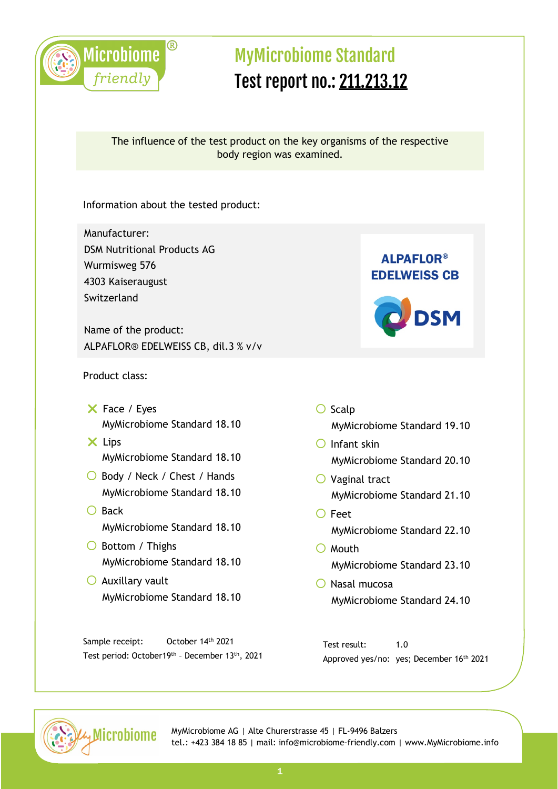

### The influence of the test product on the key organisms of the respective body region was examined.

Information about the tested product:

Manufacturer: DSM Nutritional Products AG Wurmisweg 576 4303 Kaiseraugust Switzerland

Name of the product: ALPAFLOR® EDELWEISS CB, dil.3 % v/v

#### Product class:

- $X$  Face / Eyes MyMicrobiome Standard 18.10
- $\times$  Lips MyMicrobiome Standard 18.10
- ◯ Body / Neck / Chest / Hands MyMicrobiome Standard 18.10
- $\bigcap$  Back MyMicrobiome Standard 18.10
- $\bigcirc$  Bottom / Thighs MyMicrobiome Standard 18.10
- $\bigcirc$  Auxillary vault MyMicrobiome Standard 18.10

Sample receipt: October 14<sup>th</sup> 2021 Test period: October19th – December 13th, 2021





- $\bigcirc$  Scalp MyMicrobiome Standard 19.10
- $\bigcap$  Infant skin MyMicrobiome Standard 20.10
- $\bigcirc$  Vaginal tract MyMicrobiome Standard 21.10
- $\bigcirc$  Feet MyMicrobiome Standard 22.10
- $\bigcirc$  Mouth MyMicrobiome Standard 23.10
- $\bigcirc$  Nasal mucosa MyMicrobiome Standard 24.10

Test result: 1.0 Approved yes/no: yes; December 16th 2021

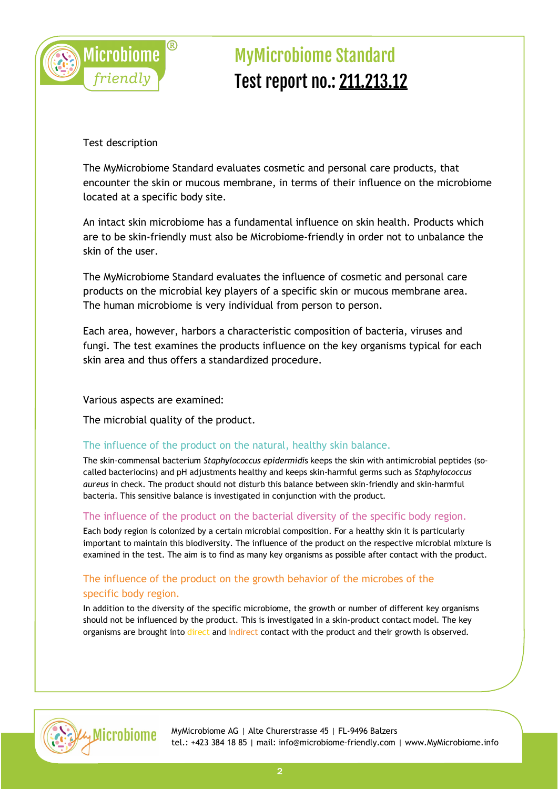

Test description

The MyMicrobiome Standard evaluates cosmetic and personal care products, that encounter the skin or mucous membrane, in terms of their influence on the microbiome located at a specific body site.

An intact skin microbiome has a fundamental influence on skin health. Products which are to be skin-friendly must also be Microbiome-friendly in order not to unbalance the skin of the user.

The MyMicrobiome Standard evaluates the influence of cosmetic and personal care products on the microbial key players of a specific skin or mucous membrane area. The human microbiome is very individual from person to person.

Each area, however, harbors a characteristic composition of bacteria, viruses and fungi. The test examines the products influence on the key organisms typical for each skin area and thus offers a standardized procedure.

Various aspects are examined:

The microbial quality of the product.

#### The influence of the product on the natural, healthy skin balance.

The skin-commensal bacterium *Staphylococcus epidermidi*s keeps the skin with antimicrobial peptides (socalled bacteriocins) and pH adjustments healthy and keeps skin-harmful germs such as *Staphylococcus aureus* in check. The product should not disturb this balance between skin-friendly and skin-harmful bacteria. This sensitive balance is investigated in conjunction with the product.

#### The influence of the product on the bacterial diversity of the specific body region.

Each body region is colonized by a certain microbial composition. For a healthy skin it is particularly important to maintain this biodiversity. The influence of the product on the respective microbial mixture is examined in the test. The aim is to find as many key organisms as possible after contact with the product.

### The influence of the product on the growth behavior of the microbes of the specific body region.

In addition to the diversity of the specific microbiome, the growth or number of different key organisms should not be influenced by the product. This is investigated in a skin-product contact model. The key organisms are brought into direct and indirect contact with the product and their growth is observed.

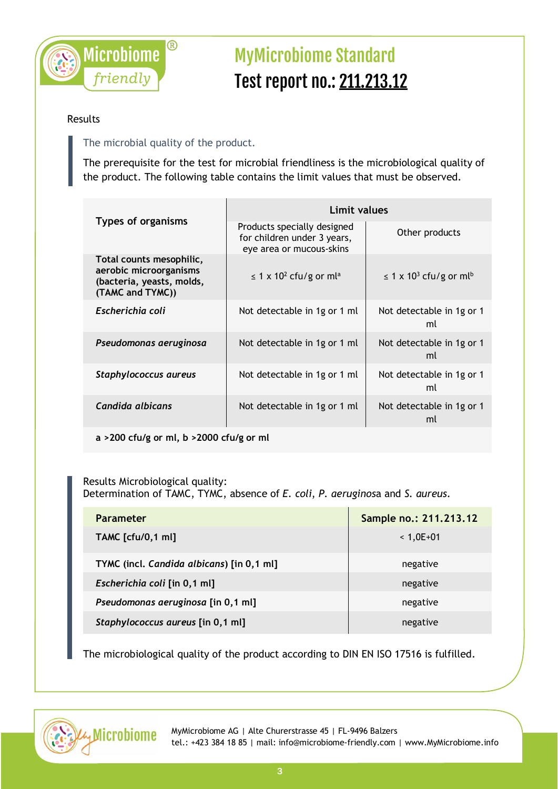

#### Results

### The microbial quality of the product.

The prerequisite for the test for microbial friendliness is the microbiological quality of the product. The following table contains the limit values that must be observed.

| <b>Types of organisms</b>                                                                           | Limit values                                                                           |                                                     |  |
|-----------------------------------------------------------------------------------------------------|----------------------------------------------------------------------------------------|-----------------------------------------------------|--|
|                                                                                                     | Products specially designed<br>for children under 3 years,<br>eye area or mucous-skins | Other products                                      |  |
| Total counts mesophilic,<br>aerobic microorganisms<br>(bacteria, yeasts, molds,<br>(TAMC and TYMC)) | $\leq$ 1 x 10 <sup>2</sup> cfu/g or ml <sup>a</sup>                                    | $\leq$ 1 x 10 <sup>3</sup> cfu/g or ml <sup>b</sup> |  |
| Escherichia coli                                                                                    | Not detectable in 1g or 1 ml                                                           | Not detectable in 1g or 1<br>ml                     |  |
| Pseudomonas aeruginosa                                                                              | Not detectable in 1g or 1 ml                                                           | Not detectable in 1g or 1<br>ml                     |  |
| Staphylococcus aureus                                                                               | Not detectable in 1g or 1 ml                                                           | Not detectable in 1g or 1<br>ml                     |  |
| Candida albicans                                                                                    | Not detectable in 1g or 1 ml                                                           | Not detectable in 1g or 1<br>ml                     |  |

**a >200 cfu/g or ml, b >2000 cfu/g or ml**

#### Results Microbiological quality: Determination of TAMC, TYMC, absence of *E. coli*, *P. aeruginos*a and *S. aureus.*

| <b>Parameter</b>                          | Sample no.: 211.213.12 |
|-------------------------------------------|------------------------|
| <b>TAMC</b> [cfu/0,1 ml]                  | $< 1,0E+01$            |
| TYMC (incl. Candida albicans) [in 0,1 ml] | negative               |
| Escherichia coli [in 0,1 ml]              | negative               |
| Pseudomonas aeruginosa [in 0,1 ml]        | negative               |
| Staphylococcus aureus [in 0,1 ml]         | negative               |

The microbiological quality of the product according to DIN EN ISO 17516 is fulfilled.

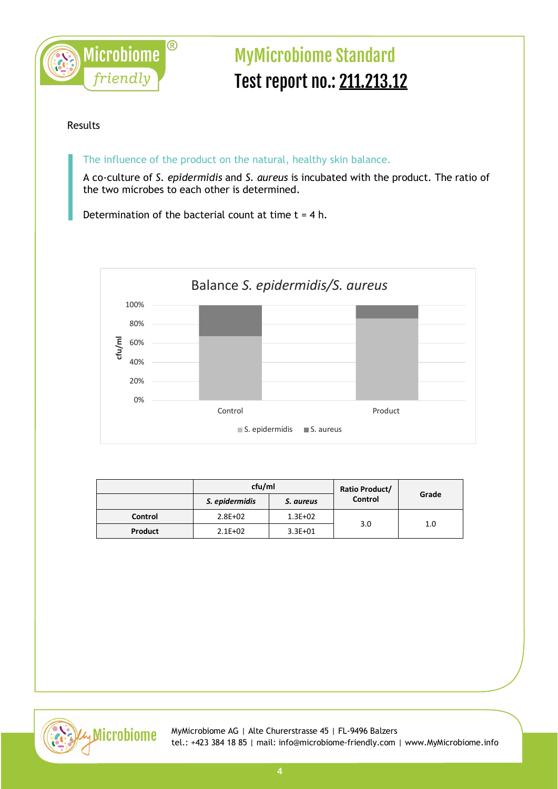

#### Results

The influence of the product on the natural, healthy skin balance.

A co-culture of *S. epidermidis* and *S. aureus* is incubated with the product. The ratio of the two microbes to each other is determined.

Determination of the bacterial count at time  $t = 4$  h.



|                | cfu/ml         |             | Ratio Product/ |       |
|----------------|----------------|-------------|----------------|-------|
|                | S. epidermidis | S. aureus   | Control        | Grade |
| <b>Control</b> | $2.8E + 02$    | $1.3E + 02$ | 3.0            | 1.0   |
| Product        | $2.1E + 02$    | $3.3E + 01$ |                |       |

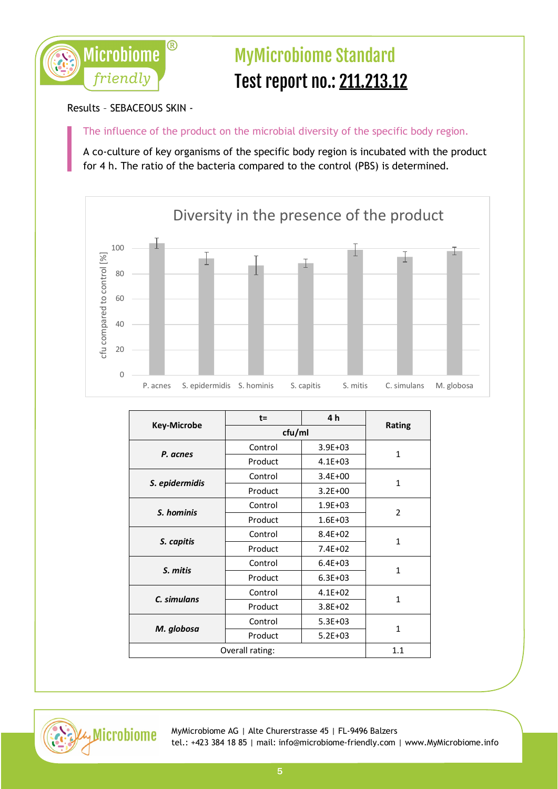

### Results – SEBACEOUS SKIN -

The influence of the product on the microbial diversity of the specific body region.

A co-culture of key organisms of the specific body region is incubated with the product for 4 h. The ratio of the bacteria compared to the control (PBS) is determined.



|                    | $t =$   | 4 h         |                |
|--------------------|---------|-------------|----------------|
| <b>Key-Microbe</b> | cfu/ml  |             | <b>Rating</b>  |
|                    | Control | $3.9E + 03$ | $\mathbf{1}$   |
| P. acnes           | Product | $4.1E + 03$ |                |
|                    | Control | $3.4E + 00$ | 1              |
| S. epidermidis     | Product | $3.2E + 00$ |                |
| S. hominis         | Control | $1.9E + 03$ | $\overline{2}$ |
|                    | Product | $1.6E + 03$ |                |
| S. capitis         | Control | $8.4E + 02$ | $\mathbf{1}$   |
|                    | Product | $7.4E + 02$ |                |
| S. mitis           | Control | $6.4E + 03$ | 1              |
|                    | Product | $6.3E + 03$ |                |
|                    | Control | $4.1E + 02$ | $\mathbf{1}$   |
| C. simulans        | Product | $3.8E + 02$ |                |
| M. globosa         | Control | $5.3E + 03$ |                |
|                    | Product | $5.2E + 03$ | 1              |
| Overall rating:    |         | 1.1         |                |

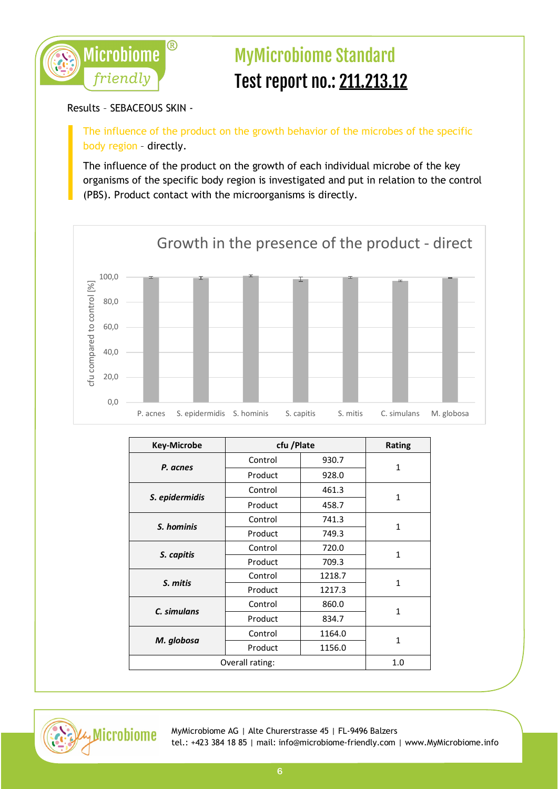

### Results – SEBACEOUS SKIN -

The influence of the product on the growth behavior of the microbes of the specific body region – directly.

The influence of the product on the growth of each individual microbe of the key organisms of the specific body region is investigated and put in relation to the control (PBS). Product contact with the microorganisms is directly.



| <b>Key-Microbe</b> | cfu /Plate |        | <b>Rating</b> |
|--------------------|------------|--------|---------------|
| P. acnes           | Control    | 930.7  | $\mathbf{1}$  |
|                    | Product    | 928.0  |               |
|                    | Control    | 461.3  |               |
| S. epidermidis     | Product    | 458.7  | $\mathbf{1}$  |
| S. hominis         | Control    | 741.3  | 1             |
|                    | Product    | 749.3  |               |
| S. capitis         | Control    | 720.0  | $\mathbf{1}$  |
|                    | Product    | 709.3  |               |
| S. mitis           | Control    | 1218.7 | 1             |
|                    | Product    | 1217.3 |               |
| C. simulans        | Control    | 860.0  | $\mathbf{1}$  |
|                    | Product    | 834.7  |               |
| M. globosa         | Control    | 1164.0 | 1             |
|                    | Product    | 1156.0 |               |
| Overall rating:    |            | 1.0    |               |

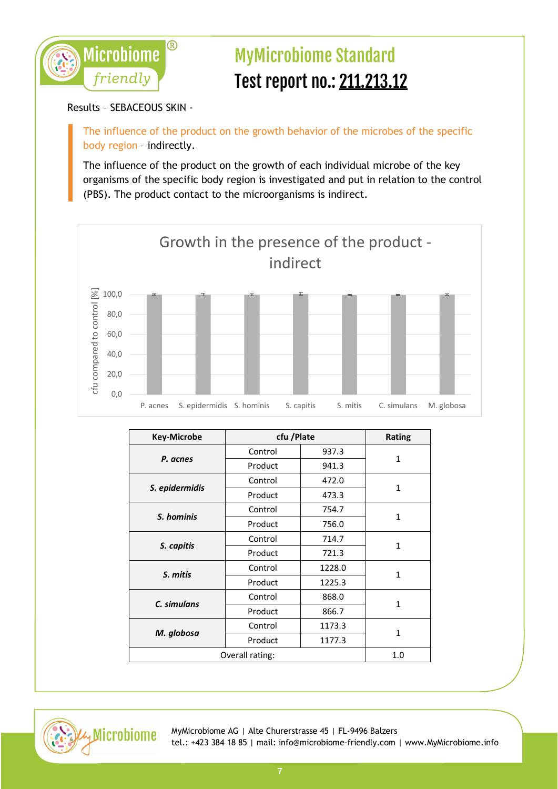

Results – SEBACEOUS SKIN -

The influence of the product on the growth behavior of the microbes of the specific body region – indirectly.

The influence of the product on the growth of each individual microbe of the key organisms of the specific body region is investigated and put in relation to the control (PBS). The product contact to the microorganisms is indirect.



| <b>Key-Microbe</b> | cfu / Plate |        | Rating       |
|--------------------|-------------|--------|--------------|
| P. acnes           | Control     | 937.3  | 1            |
|                    | Product     | 941.3  |              |
|                    | Control     | 472.0  |              |
| S. epidermidis     | Product     | 473.3  | $\mathbf{1}$ |
| S. hominis         | Control     | 754.7  | $\mathbf{1}$ |
|                    | Product     | 756.0  |              |
| S. capitis         | Control     | 714.7  | $\mathbf{1}$ |
|                    | Product     | 721.3  |              |
| S. mitis           | Control     | 1228.0 | $\mathbf{1}$ |
|                    | Product     | 1225.3 |              |
| C. simulans        | Control     | 868.0  | $\mathbf{1}$ |
|                    | Product     | 866.7  |              |
| M. globosa         | Control     | 1173.3 | $\mathbf{1}$ |
|                    | Product     | 1177.3 |              |
| Overall rating:    |             | 1.0    |              |